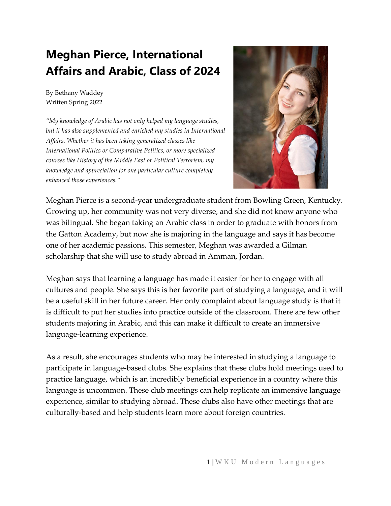## **Meghan Pierce, International Affairs and Arabic, Class of 2024**

By Bethany Waddey Written Spring 2022

*"My knowledge of Arabic has not only helped my language studies, but it has also supplemented and enriched my studies in International Affairs. Whether it has been taking generalized classes like International Politics or Comparative Politics, or more specialized courses like History of the Middle East or Political Terrorism, my knowledge and appreciation for one particular culture completely enhanced those experiences."*



Meghan Pierce is a second-year undergraduate student from Bowling Green, Kentucky. Growing up, her community was not very diverse, and she did not know anyone who was bilingual. She began taking an Arabic class in order to graduate with honors from the Gatton Academy, but now she is majoring in the language and says it has become one of her academic passions. This semester, Meghan was awarded a Gilman scholarship that she will use to study abroad in Amman, Jordan.

Meghan says that learning a language has made it easier for her to engage with all cultures and people. She says this is her favorite part of studying a language, and it will be a useful skill in her future career. Her only complaint about language study is that it is difficult to put her studies into practice outside of the classroom. There are few other students majoring in Arabic, and this can make it difficult to create an immersive language-learning experience.

As a result, she encourages students who may be interested in studying a language to participate in language-based clubs. She explains that these clubs hold meetings used to practice language, which is an incredibly beneficial experience in a country where this language is uncommon. These club meetings can help replicate an immersive language experience, similar to studying abroad. These clubs also have other meetings that are culturally-based and help students learn more about foreign countries.